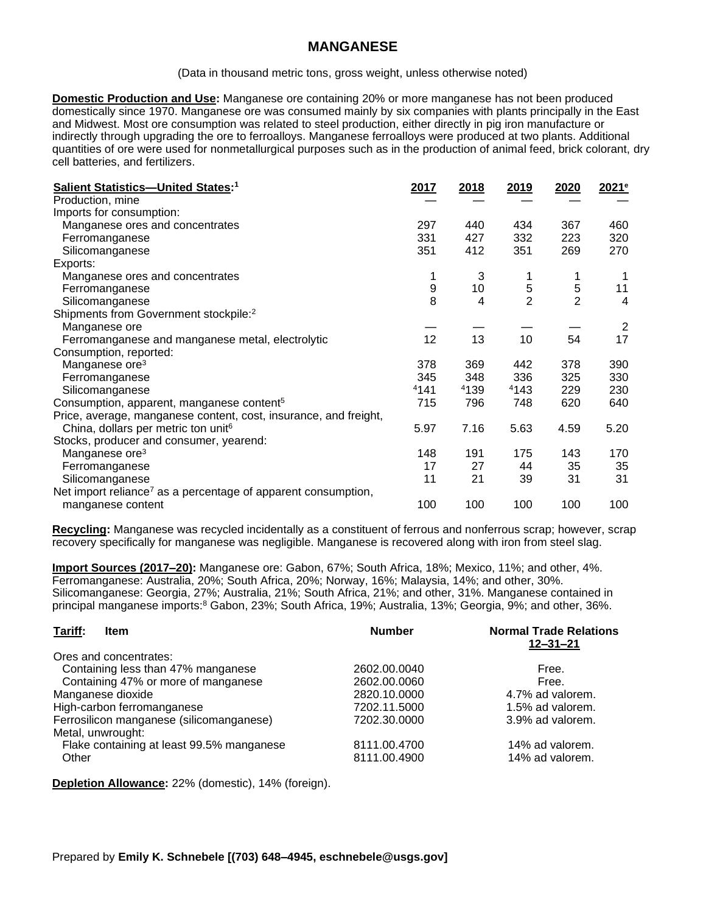## **MANGANESE**

(Data in thousand metric tons, gross weight, unless otherwise noted)

**Domestic Production and Use:** Manganese ore containing 20% or more manganese has not been produced domestically since 1970. Manganese ore was consumed mainly by six companies with plants principally in the East and Midwest. Most ore consumption was related to steel production, either directly in pig iron manufacture or indirectly through upgrading the ore to ferroalloys. Manganese ferroalloys were produced at two plants. Additional quantities of ore were used for nonmetallurgical purposes such as in the production of animal feed, brick colorant, dry cell batteries, and fertilizers.

| Salient Statistics-United States: <sup>1</sup>                            | 2017 | 2018 | 2019           | 2020           | 2021 <sup>e</sup> |
|---------------------------------------------------------------------------|------|------|----------------|----------------|-------------------|
| Production, mine                                                          |      |      |                |                |                   |
| Imports for consumption:                                                  |      |      |                |                |                   |
| Manganese ores and concentrates                                           | 297  | 440  | 434            | 367            | 460               |
| Ferromanganese                                                            | 331  | 427  | 332            | 223            | 320               |
| Silicomanganese                                                           | 351  | 412  | 351            | 269            | 270               |
| Exports:                                                                  |      |      |                |                |                   |
| Manganese ores and concentrates                                           |      | 3    |                |                |                   |
| Ferromanganese                                                            | 9    | 10   | 5              | 5              | 11                |
| Silicomanganese                                                           | 8    | 4    | $\overline{2}$ | $\overline{2}$ | 4                 |
| Shipments from Government stockpile: <sup>2</sup>                         |      |      |                |                |                   |
| Manganese ore                                                             |      |      |                |                | $\overline{2}$    |
| Ferromanganese and manganese metal, electrolytic                          | 12   | 13   | 10             | 54             | 17                |
| Consumption, reported:                                                    |      |      |                |                |                   |
| Manganese ore <sup>3</sup>                                                | 378  | 369  | 442            | 378            | 390               |
| Ferromanganese                                                            | 345  | 348  | 336            | 325            | 330               |
| Silicomanganese                                                           | 4141 | 4139 | 4143           | 229            | 230               |
| Consumption, apparent, manganese content <sup>5</sup>                     | 715  | 796  | 748            | 620            | 640               |
| Price, average, manganese content, cost, insurance, and freight,          |      |      |                |                |                   |
| China, dollars per metric ton unit <sup>6</sup>                           | 5.97 | 7.16 | 5.63           | 4.59           | 5.20              |
| Stocks, producer and consumer, yearend:                                   |      |      |                |                |                   |
| Manganese ore <sup>3</sup>                                                | 148  | 191  | 175            | 143            | 170               |
| Ferromanganese                                                            | 17   | 27   | 44             | 35             | 35                |
| Silicomanganese                                                           | 11   | 21   | 39             | 31             | 31                |
| Net import reliance <sup>7</sup> as a percentage of apparent consumption, |      |      |                |                |                   |
| manganese content                                                         | 100  | 100  | 100            | 100            | 100               |

**Recycling:** Manganese was recycled incidentally as a constituent of ferrous and nonferrous scrap; however, scrap recovery specifically for manganese was negligible. Manganese is recovered along with iron from steel slag.

**Import Sources (2017–20):** Manganese ore: Gabon, 67%; South Africa, 18%; Mexico, 11%; and other, 4%. Ferromanganese: Australia, 20%; South Africa, 20%; Norway, 16%; Malaysia, 14%; and other, 30%. Silicomanganese: Georgia, 27%; Australia, 21%; South Africa, 21%; and other, 31%. Manganese contained in principal manganese imports:<sup>8</sup> Gabon, 23%; South Africa, 19%; Australia, 13%; Georgia, 9%; and other, 36%.

| Tariff:<br><b>Item</b>                    | <b>Number</b> | <b>Normal Trade Relations</b><br>$12 - 31 - 21$ |
|-------------------------------------------|---------------|-------------------------------------------------|
| Ores and concentrates:                    |               |                                                 |
| Containing less than 47% manganese        | 2602.00.0040  | Free.                                           |
| Containing 47% or more of manganese       | 2602.00.0060  | Free.                                           |
| Manganese dioxide                         | 2820.10.0000  | 4.7% ad valorem.                                |
| High-carbon ferromanganese                | 7202.11.5000  | 1.5% ad valorem.                                |
| Ferrosilicon manganese (silicomanganese)  | 7202.30.0000  | 3.9% ad valorem.                                |
| Metal, unwrought:                         |               |                                                 |
| Flake containing at least 99.5% manganese | 8111.00.4700  | 14% ad valorem.                                 |
| Other                                     | 8111.00.4900  | 14% ad valorem.                                 |

**Depletion Allowance:** 22% (domestic), 14% (foreign).